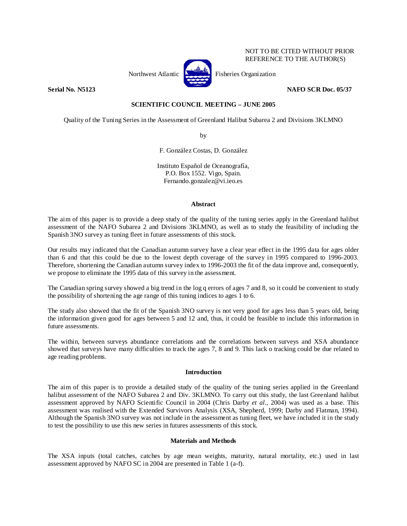

NOT TO BE CITED WITHOUT PRIOR REFERENCE TO THE AUTHOR(S)

# **Serial No. N5123 NAFO SCR Doc. 05/37**

# **SCIENTIFIC COUNCIL MEETING – JUNE 2005**

Quality of the Tuning Series in the Assessment of Greenland Halibut Subarea 2 and Divisions 3KLMNO

by

F. González Costas, D. González

Instituto Español de Oceanografía, P.O. Box 1552. Vigo, Spain. Fernando.gonzalez@vi.ieo.es

### **Abstract**

The aim of this paper is to provide a deep study of the quality of the tuning series apply in the Greenland halibut assessment of the NAFO Subarea 2 and Divisions 3KLMNO, as well as to study the feasibility of including the Spanish 3NO survey as tuning fleet in future assessments of this stock.

Our results may indicated that the Canadian autumn survey have a clear year effect in the 1995 data for ages older than 6 and that this could be due to the lowest depth coverage of the survey in 1995 compared to 1996-2003. Therefore, shortening the Canadian autumn survey index to 1996-2003 the fit of the data improve and, consequently, we propose to eliminate the 1995 data of this survey in the assessment.

The Canadian spring survey showed a big trend in the log q errors of ages 7 and 8, so it could be convenient to study the possibility of shortening the age range of this tuning indices to ages 1 to 6.

The study also showed that the fit of the Spanish 3NO survey is not very good for ages less than 5 years old, being the information given good for ages between 5 and 12 and, thus, it could be feasible to include this information in future assessments.

The within, between surveys abundance correlations and the correlations between surveys and XSA abundance showed that surveys have many difficulties to track the ages 7, 8 and 9. This lack o tracking could be due related to age reading problems.

## **Introduction**

The aim of this paper is to provide a detailed study of the quality of the tuning series applied in the Greenland halibut assessment of the NAFO Subarea 2 and Div. 3KLMNO. To carry out this study, the last Greenland halibut assessment approved by NAFO Scientific Council in 2004 (Chris Darby *et al*., 2004) was used as a base. This assessment was realised with the Extended Survivors Analysis (XSA, Shepherd, 1999; Darby and Flatman, 1994). Although the Spanish 3NO survey was not include in the assessment as tuning fleet, we have included it in the study to test the possibility to use this new series in futures assessments of this stock.

#### **Materials and Methods**

The XSA inputs (total catches, catches by age mean weights, maturity, natural mortality, etc.) used in last assessment approved by NAFO SC in 2004 are presented in Table 1 (a-f).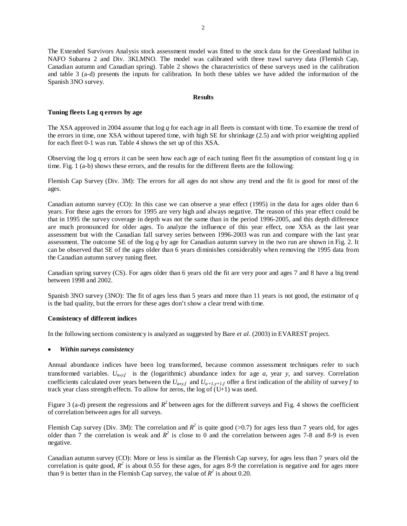The Extended Survivors Analysis stock assessment model was fitted to the stock data for the Greenland halibut in NAFO Subarea 2 and Div. 3KLMNO. The model was calibrated with three trawl survey data (Flemish Cap, Canadian autumn and Canadian spring). Table 2 shows the characteristics of these surveys used in the calibration and table 3 (a-d) presents the inputs for calibration. In both these tables we have added the information of the Spanish 3NO survey.

#### **Results**

## **Tuning fleets Log q errors by age**

The XSA approved in 2004 assume that log *q* for each age in all fleets is constant with time. To examine the trend of the errors in time, one XSA without tapered time, with high SE for shrinkage (2.5) and with prior weighting applied for each fleet 0-1 was run. Table 4 shows the set up of this XSA.

Observing the log q errors it can be seen how each age of each tuning fleet fit the assumption of constant log *q* in time. Fig. 1 (a-b) shows these errors, and the results for the different fleets are the following:

Flemish Cap Survey (Div. 3M): The errors for all ages do not show any trend and the fit is good for most of the ages.

Canadian autumn survey (CO): In this case we can observe a year effect (1995) in the data for ages older than 6 years. For these ages the errors for 1995 are very high and always negative. The reason of this year effect could be that in 1995 the survey coverage in depth was not the same than in the period 1996-2005, and this depth difference are much pronounced for older ages. To analyze the influence of this year effect, one XSA as the last year assessment but with the Canadian fall survey series between 1996-2003 was run and compare with the last year assessment. The outcome SE of the log *q* by age for Canadian autumn survey in the two run are shown in Fig. 2. It can be observed that SE of the ages older than 6 years diminishes considerably when removing the 1995 data from the Canadian autumn survey tuning fleet.

Canadian spring survey (CS). For ages older than 6 years old the fit are very poor and ages 7 and 8 have a big trend between 1998 and 2002.

Spanish 3NO survey (3NO): The fit of ages less than 5 years and more than 11 years is not good, the estimator of *q* is the bad quality, but the errors for these ages don't show a clear trend with time.

#### **Consistency of different indices**

In the following sections consistency is analyzed as suggested by Bare *et al*. (2003) in EVAREST project.

#### • *Within surveys consistency*

Annual abundance indices have been log transformed, because common assessment techniques refer to such transformed variables.  $U_{a, y,f}$  is the (logarithmic) abundance index for age *a*, year *y*, and survey. Correlation coefficients calculated over years between the  $U_{a,y,f}$  and  $U_{a+1,y+1,f}$  offer a first indication of the ability of survey *f* to track year class strength effects. To allow for zeros, the log of  $(U+1)$  was used.

Figure 3 (a-d) present the regressions and  $R^2$  between ages for the different surveys and Fig. 4 shows the coefficient of correlation between ages for all surveys.

Flemish Cap survey (Div. 3M): The correlation and  $R^2$  is quite good (>0.7) for ages less than 7 years old, for ages older than 7 the correlation is weak and  $R^2$  is close to 0 and the correlation between ages 7-8 and 8-9 is even negative.

Canadian autumn survey (CO): More or less is similar as the Flemish Cap survey, for ages less than 7 years old the correlation is quite good,  $R^2$  is about 0.55 for these ages, for ages 8-9 the correlation is negative and for ages more than 9 is better than in the Flemish Cap survey, the value of  $R^2$  is about 0.20.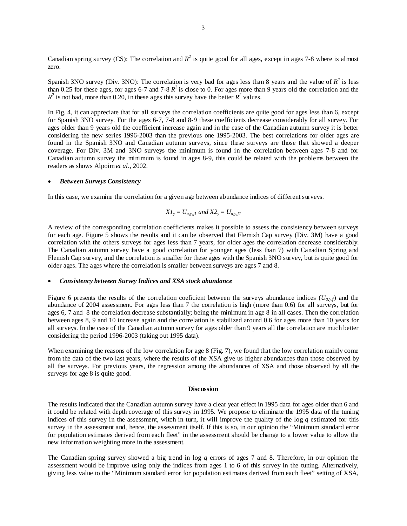Canadian spring survey (CS): The correlation and  $R^2$  is quite good for all ages, except in ages 7-8 where is almost zero.

Spanish 3NO survey (Div. 3NO): The correlation is very bad for ages less than 8 years and the value of  $R^2$  is less than 0.25 for these ages, for ages 6-7 and 7-8  $R^2$  is close to 0. For ages more than 9 years old the correlation and the  $R^2$  is not bad, more than 0.20, in these ages this survey have the better  $R^2$  values.

In Fig. 4, it can appreciate that for all surveys the correlation coefficients are quite good for ages less than 6, except for Spanish 3NO survey. For the ages 6-7, 7-8 and 8-9 these coefficients decrease considerably for all survey. For ages older than 9 years old the coefficient increase again and in the case of the Canadian autumn survey it is better considering the new series 1996-2003 than the previous one 1995-2003. The best correlations for older ages are found in the Spanish 3NO and Canadian autumn surveys, since these surveys are those that showed a deeper coverage. For Div. 3M and 3NO surveys the minimum is found in the correlation between ages 7-8 and for Canadian autumn survey the minimum is found in ages 8-9, this could be related with the problems between the readers as shows Alpoim *et al*., 2002.

#### • *Between Surveys Consistency*

In this case, we examine the correlation for a given age between abundance indices of different surveys.

$$
XI_y = U_{a,y,f1}
$$
 and  $X2_y = U_{a,y,f2}$ 

A review of the corresponding correlation coefficients makes it possible to assess the consistency between surveys for each age. Figure 5 shows the results and it can be observed that Flemish Cap survey (Div. 3M) have a good correlation with the others surveys for ages less than 7 years, for older ages the correlation decrease considerably. The Canadian autumn survey have a good correlation for younger ages (less than 7) with Canadian Spring and Flemish Cap survey, and the correlation is smaller for these ages with the Spanish 3NO survey, but is quite good for older ages. The ages where the correlation is smaller between surveys are ages 7 and 8.

## • *Consistency between Survey Indices and XSA stock abundance*

Figure 6 presents the results of the correlation coeficient between the surveys abundance indices  $(U_{a,y,f})$  and the abundance of 2004 assessment. For ages less than 7 the correlation is high (more than 0.6) for all surveys, but for ages 6, 7 and 8 the correlation decrease substantially; being the minimum in age 8 in all cases. Then the correlation between ages 8, 9 and 10 increase again and the correlation is stabilized around 0.6 for ages more than 10 years for all surveys. In the case of the Canadian autumn survey for ages older than 9 years all the correlation are much better considering the period 1996-2003 (taking out 1995 data).

When examining the reasons of the low correlation for age 8 (Fig. 7), we found that the low correlation mainly come from the data of the two last years, where the results of the XSA give us higher abundances than those observed by all the surveys. For previous years, the regression among the abundances of XSA and those observed by all the surveys for age 8 is quite good.

#### **Discussion**

The results indicated that the Canadian autumn survey have a clear year effect in 1995 data for ages older than 6 and it could be related with depth coverage of this survey in 1995. We propose to eliminate the 1995 data of the tuning indices of this survey in the assessment, witch in turn, it will improve the quality of the log *q* estimated for this survey in the assessment and, hence, the assessment itself. If this is so, in our opinion the "Minimum standard error for population estimates derived from each fleet" in the assessment should be change to a lower value to allow the new information weighting more in the assessment.

The Canadian spring survey showed a big trend in log *q* errors of ages 7 and 8. Therefore, in our opinion the assessment would be improve using only the indices from ages 1 to 6 of this survey in the tuning. Alternatively, giving less value to the "Minimum standard error for population estimates derived from each fleet" setting of XSA,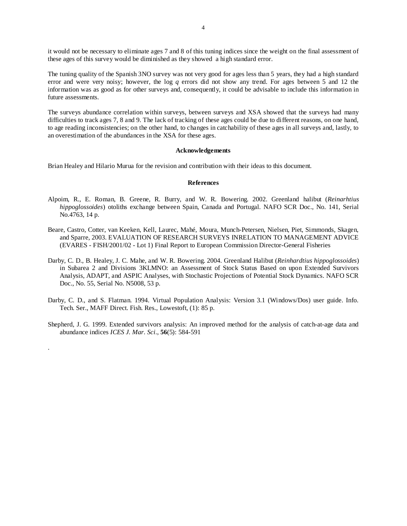it would not be necessary to eliminate ages 7 and 8 of this tuning indices since the weight on the final assessment of these ages of this survey would be diminished as they showed a high standard error.

The tuning quality of the Spanish 3NO survey was not very good for ages less than 5 years, they had a high standard error and were very noisy; however, the log *q* errors did not show any trend. For ages between 5 and 12 the information was as good as for other surveys and, consequently, it could be advisable to include this information in future assessments.

The surveys abundance correlation within surveys, between surveys and XSA showed that the surveys had many difficulties to track ages 7, 8 and 9. The lack of tracking of these ages could be due to different reasons, on one hand, to age reading inconsistencies; on the other hand, to changes in catchability of these ages in all surveys and, lastly, to an overestimation of the abundances in the XSA for these ages.

#### **Acknowledgements**

Brian Healey and Hilario Murua for the revision and contribution with their ideas to this document.

#### **References**

- Alpoim, R., E. Roman, B. Greene, R. Burry, and W. R. Bowering. 2002. Greenland halibut (*Reinarhtius hippoglossoides*) otoliths exchange between Spain, Canada and Portugal. NAFO SCR Doc., No. 141, Serial No.4763, 14 p.
- Beare, Castro, Cotter, van Keeken, Kell, Laurec, Mahé, Moura, Munch-Petersen, Nielsen, Piet, Simmonds, Skagen, and Sparre, 2003. EVALUATION OF RESEARCH SURVEYS INRELATION TO MANAGEMENT ADVICE (EVARES - FISH/2001/02 - Lot 1) Final Report to European Commission Director-General Fisheries
- Darby, C. D., B. Healey, J. C. Mahe, and W. R. Bowering. 2004. Greenland Halibut (*Reinhardtius hippoglossoides*) in Subarea 2 and Divisions 3KLMNO: an Assessment of Stock Status Based on upon Extended Survivors Analysis, ADAPT, and ASPIC Analyses, with Stochastic Projections of Potential Stock Dynamics. NAFO SCR Doc., No. 55, Serial No. N5008, 53 p.
- Darby, C. D., and S. Flatman. 1994. Virtual Population Analysis: Version 3.1 (Windows/Dos) user guide. Info. Tech. Ser., MAFF Direct. Fish. Res., Lowestoft, (1): 85 p.
- Shepherd, J. G. 1999. Extended survivors analysis: An improved method for the analysis of catch-at-age data and abundance indices *ICES J. Mar. Sci*., **56**(5): 584-591

.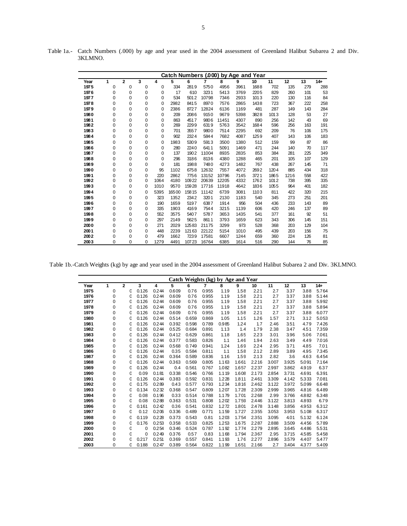|      |          |              |   |          |       |       |       | Catch Numbers (.000) by Age and Year |      |      |      |      |     |        |
|------|----------|--------------|---|----------|-------|-------|-------|--------------------------------------|------|------|------|------|-----|--------|
| Year | 1        | $\mathbf{2}$ | 3 | 4        | 5     | 6     | 7     | 8                                    | 9    | 10   | 11   | 12   | 13  | $14 +$ |
| 1975 | 0        | 0            | 0 | 0        | 334   | 2819  | 5750  | 4956                                 | 3961 | 1688 | 702  | 135  | 279 | 288    |
| 1976 | 0        | 0            | 0 | 0        | 17    | 610   | 3231  | 5413                                 | 3769 | 2205 | 829  | 260  | 101 | 53     |
| 1977 | 0        | 0            | 0 | $\Omega$ | 534   | 5012  | 10798 | 7346                                 | 2933 | 1013 | 220  | 130  | 116 | 84     |
| 1978 | 0        | 0            | 0 | $\Omega$ | 2982  | 8415  | 8970  | 7576                                 | 2865 | 1438 | 723  | 367  | 222 | 258    |
| 1979 | 0        | 0            | 0 | 0        | 2386  | 8727  | 12824 | 6136                                 | 1169 | 481  | 287  | 149  | 143 | 284    |
| 1980 | 0        | 0            | 0 | 0        | 209   | 2086  | 9150  | 9679                                 | 5398 | 3828 | 1013 | 128  | 53  | 27     |
| 1981 | 0        | 0            | 0 | 0        | 863   | 4517  | 9806  | 11451                                | 4307 | 890  | 256  | 142  | 43  | 69     |
| 1982 | 0        | 0            | 0 | 0        | 269   | 2299  | 6319  | 5763                                 | 3542 | 1684 | 596  | 256  | 163 | 191    |
| 1983 | 0        | 0            | 0 | $\Omega$ | 701   | 3557  | 9800  | 7514                                 | 2295 | 692  | 209  | 76   | 106 | 175    |
| 1984 | 0        | 0            | 0 | 0        | 902   | 2324  | 5844  | 7682                                 | 4087 | 1259 | 407  | 143  | 106 | 183    |
| 1985 | 0        | 0            | 0 | 0        | 1983  | 5309  | 5913  | 3500                                 | 1380 | 512  | 159  | 99   | 87  | 86     |
| 1986 | 0        | 0            | 0 | 0        | 280   | 2240  | 6411  | 5091                                 | 1469 | 471  | 244  | 140  | 70  | 117    |
| 1987 | 0        | 0            | 0 | 0        | 137   | 1902  | 11004 | 8935                                 | 2835 | 853  | 384  | 281  | 225 | 349    |
| 1988 | 0        | 0            | 0 | $\Omega$ | 296   | 3186  | 8136  | 4380                                 | 1288 | 465  | 201  | 105  | 107 | 129    |
| 1989 | 0        | 0            | 0 | $\Omega$ | 181   | 1988  | 7480  | 4273                                 | 1482 | 767  | 438  | 267  | 145 | 71     |
| 1990 | 0        | 0            | 0 | 95       | 1102  | 6758  | 12632 | 7557                                 | 4072 | 2692 | 1204 | 885  | 434 | 318    |
| 1991 | 0        | 0            | 0 | 220      | 2862  | 7756  | 13152 | 10796                                | 7145 | 3721 | 1865 | 1216 | 558 | 422    |
| 1992 | 0        | 0            | 0 | 1064     | 4180  | 10922 | 20639 | 12205                                | 4332 | 1762 | 1012 | 738  | 395 | 335    |
| 1993 | 0        | 0            | 0 | 1010     | 9570  | 15928 | 17716 | 11918                                | 4642 | 1836 | 1055 | 964  | 401 | 182    |
| 1994 | 0        | 0            | 0 | 5395     | 16500 | 15815 | 11142 | 6739                                 | 3081 | 1103 | 811  | 422  | 320 | 215    |
| 1995 | 0        | 0            | 0 | 323      | 1352  | 2342  | 3201  | 2130                                 | 1183 | 540  | 345  | 273  | 251 | 201    |
| 1996 | 0        | 0            | 0 | 190      | 1659  | 5197  | 6387  | 1914                                 | 956  | 504  | 436  | 233  | 143 | 89     |
| 1997 | $\Omega$ | 0            | 0 | 335      | 1903  | 4169  | 7544  | 3215                                 | 1139 | 606  | 420  | 246  | 137 | 89     |
| 1998 | 0        | 0            | 0 | 552      | 3575  | 5407  | 5787  | 3653                                 | 1435 | 541  | 377  | 161  | 92  | 51     |
| 1999 | 0        | 0            | 0 | 297      | 2149  | 5625  | 8611  | 3793                                 | 1659 | 623  | 343  | 306  | 145 | 151    |
| 2000 | 0        | 0            | 0 | 271      | 2029  | 12583 | 21175 | 3299                                 | 973  | 528  | 368  | 203  | 129 | 104    |
| 2001 | 0        | 0            | 0 | 448      | 2239  | 12163 | 22122 | 5154                                 | 1010 | 495  | 439  | 203  | 156 | 75     |
| 2002 | 0        | 0            | 0 | 479      | 1662  | 7239  | 17581 | 6607                                 | 1244 | 659  | 360  | 224  | 126 | 81     |
| 2003 | 0        | $\Omega$     | 0 | 1279     | 4491  | 10723 | 16764 | 6385                                 | 1614 | 516  | 290  | 144  | 76  | 85     |

Table 1a.- Catch Numbers (.000) by age and year used in the 2004 assessment of Greenland Halibut Subarea 2 and Div. 3KLMNO.

Table 1b.-Catch Weights (kg) by age and year used in the 2004 assessment of Greenland Halibut Subarea 2 and Div. 3KLMNO.

|      |          |                |       |       |       |       |                |       | Catch Weights (kg) by Age and Year |       |       |       |       |        |
|------|----------|----------------|-------|-------|-------|-------|----------------|-------|------------------------------------|-------|-------|-------|-------|--------|
| Year | 1        | $\overline{2}$ | 3     | 4     | 5     | 6     | $\overline{7}$ | 8     | 9                                  | 10    | 11    | 12    | 13    | $14 +$ |
| 1975 | 0        | 0              | 0.126 | 0.244 | 0.609 | 0.76  | 0.955          | 1.19  | 1.58                               | 2.21  | 2.7   | 3.37  | 3.88  | 5.764  |
| 1976 | 0        | 0              | 0.126 | 0.244 | 0.609 | 0.76  | 0.955          | 1.19  | 1.58                               | 2.21  | 2.7   | 3.37  | 3.88  | 5.144  |
| 1977 | 0        | 0              | 0.126 | 0.244 | 0.609 | 0.76  | 0.955          | 1.19  | 1.58                               | 2.21  | 2.7   | 3.37  | 3.88  | 5.992  |
| 1978 | 0        | 0              | 0.126 | 0.244 | 0.609 | 0.76  | 0.955          | 1.19  | 1.58                               | 2.21  | 2.7   | 3.37  | 3.88  | 5.894  |
| 1979 | 0        | 0              | 0.126 | 0.244 | 0.609 | 0.76  | 0.955          | 1.19  | 1.58                               | 2.21  | 2.7   | 3.37  | 3.88  | 6.077  |
| 1980 | 0        | 0              | 0.126 | 0.244 | 0.514 | 0.659 | 0.869          | 1.05  | 1.15                               | 1.26  | 1.57  | 2.71  | 3.12  | 5.053  |
| 1981 | 0        | 0              | 0.126 | 0.244 | 0.392 | 0.598 | 0.789          | 0.985 | 1.24                               | 1.7   | 2.46  | 3.51  | 4.79  | 7.426  |
| 1982 | 0        | 0              | 0.126 | 0.244 | 0.525 | 0.684 | 0.891          | 1.13  | 1.4                                | 1.79  | 2.38  | 3.47  | 4.51  | 7.359  |
| 1983 | 0        | 0              | 0.126 | 0.244 | 0.412 | 0.629 | 0.861          | 1.18  | 1.65                               | 2.23  | 3.01  | 3.96  | 5.06  | 7.061  |
| 1984 | 0        | 0              | 0.126 | 0.244 | 0.377 | 0.583 | 0.826          | 1.1   | 1.46                               | 1.94  | 2.63  | 3.49  | 4.49  | 7.016  |
| 1985 | 0        | 0              | 0.126 | 0.244 | 0.568 | 0.749 | 0.941          | 1.24  | 1.69                               | 2.24  | 2.95  | 3.71  | 4.85  | 7.01   |
| 1986 | 0        | 0              | 0.126 | 0.244 | 0.35  | 0.584 | 0.811          | 1.1   | 1.58                               | 2.12  | 2.89  | 3.89  | 4.95  | 7.345  |
| 1987 | 0        | 0              | 0.126 | 0.244 | 0.364 | 0.589 | 0.836          | 1.16  | 1.59                               | 2.13  | 2.82  | 3.6   | 4.63  | 6.454  |
| 1988 | 0        | 0              | 0.126 | 0.244 | 0.363 | 0.569 | 0.805          | 1.163 | 1.661                              | 2.216 | 3.007 | 3.925 | 5.091 | 7.164  |
| 1989 | 0        | 0              | 0.126 | 0.244 | 0.4   | 0.561 | 0.767          | 1.082 | 1.657                              | 2.237 | 2.997 | 3.862 | 4.919 | 6.37   |
| 1990 | 0        | 0              | 0.09  | 0.181 | 0.338 | 0.546 | 0.766          | 1.119 | 1.608                              | 2.173 | 2.854 | 3.731 | 4.691 | 6.391  |
| 1991 | 0        | 0              | 0.126 | 0.244 | 0.383 | 0.592 | 0.831          | 1.228 | 1.811                              | 2.461 | 3.309 | 4.142 | 5.333 | 7.081  |
| 1992 | 0        | 0              | 0.175 | 0.289 | 0.43  | 0.577 | 0.793          | 1.234 | 1.816                              | 2.462 | 3.122 | 3.972 | 5.099 | 6.648  |
| 1993 | 0        | 0              | 0.134 | 0.232 | 0.368 | 0.547 | 0.809          | 1.207 | 1.728                              | 2.309 | 2.999 | 3.965 | 4.816 | 6.489  |
| 1994 | 0        | 0              | 0.08  | 0.196 | 0.33  | 0.514 | 0.788          | 1.179 | 1.701                              | 2.268 | 2.99  | 3.766 | 4.882 | 6.348  |
| 1995 | 0        | 0              | 0.08  | 0.288 | 0.363 | 0.531 | 0.808          | 1.202 | 1.759                              | 2.446 | 3.122 | 3.813 | 4.893 | 6.79   |
| 1996 | 0        | 0              | 0.161 | 0.242 | 0.36  | 0.541 | 0.832          | 1.272 | 1.801                              | 2.478 | 3.148 | 3.856 | 4.953 | 6.312  |
| 1997 | 0        | 0              | 0.12  | 0.206 | 0.336 | 0.489 | 0.771          | 1.159 | 1.727                              | 2.355 | 3.053 | 3.953 | 5.108 | 6.317  |
| 1998 | 0        | 0              | 0.119 | 0.228 | 0.373 | 0.543 | 0.81           | 1.203 | 1.754                              | 2.351 | 3.095 | 4.01  | 5.132 | 6.124  |
| 1999 | 0        | 0              | 0.176 | 0.253 | 0.358 | 0.533 | 0.825          | 1.253 | 1.675                              | 2.287 | 2.888 | 3.509 | 4.456 | 5.789  |
| 2000 | 0        | 0              | 0     | 0.254 | 0.346 | 0.524 | 0.787          | 1.192 | 1.774                              | 2.279 | 2.895 | 3.645 | 4.486 | 5.531  |
| 2001 | 0        | 0              | 0     | 0.249 | 0.376 | 0.57  | 0.83           | 1.168 | 1.794                              | 2.367 | 2.95  | 3.715 | 4.585 | 5.458  |
| 2002 | 0        | 0              | 0.217 | 0.251 | 0.369 | 0.557 | 0.841          | 1.193 | 1.76                               | 2.277 | 2.896 | 3.579 | 4.407 | 5.477  |
| 2003 | $\Omega$ | 0              | 0.188 | 0.247 | 0.389 | 0.564 | 0.822          | 1.199 | 1.651                              | 2.166 | 2.7   | 3.404 | 4.377 | 5.409  |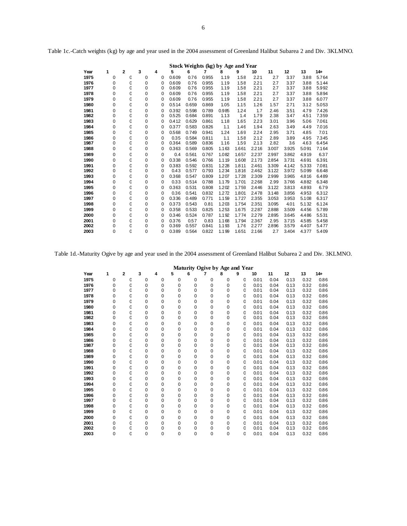|      |             |                |             |          |       |       |       |       | Stock Weights (kg) by Age and Year |       |       |       |       |        |
|------|-------------|----------------|-------------|----------|-------|-------|-------|-------|------------------------------------|-------|-------|-------|-------|--------|
| Year | 1           | $\overline{2}$ | 3           | 4        | 5     | 6     | 7     | 8     | 9                                  | 10    | 11    | 12    | 13    | $14 +$ |
| 1975 | 0           | 0              | 0           | 0        | 0.609 | 0.76  | 0.955 | 1.19  | 1.58                               | 2.21  | 2.7   | 3.37  | 3.88  | 5.764  |
| 1976 | $\mathbf 0$ | 0              | $\mathbf 0$ | 0        | 0.609 | 0.76  | 0.955 | 1.19  | 1.58                               | 2.21  | 2.7   | 3.37  | 3.88  | 5.144  |
| 1977 | $\Omega$    | 0              | $\Omega$    | 0        | 0.609 | 0.76  | 0.955 | 1.19  | 1.58                               | 2.21  | 2.7   | 3.37  | 3.88  | 5.992  |
| 1978 | 0           | 0              | 0           | 0        | 0.609 | 0.76  | 0.955 | 1.19  | 1.58                               | 2.21  | 2.7   | 3.37  | 3.88  | 5.894  |
| 1979 | 0           | 0              | $\Omega$    | $\Omega$ | 0.609 | 0.76  | 0.955 | 1.19  | 1.58                               | 2.21  | 2.7   | 3.37  | 3.88  | 6.077  |
| 1980 | 0           | 0              | 0           | 0        | 0.514 | 0.659 | 0.869 | 1.05  | 1.15                               | 1.26  | 1.57  | 2.71  | 3.12  | 5.053  |
| 1981 | 0           | 0              | $\mathbf 0$ | 0        | 0.392 | 0.598 | 0.789 | 0.985 | 1.24                               | 1.7   | 2.46  | 3.51  | 4.79  | 7.426  |
| 1982 | $\Omega$    | 0              | $\Omega$    | 0        | 0.525 | 0.684 | 0.891 | 1.13  | 1.4                                | 1.79  | 2.38  | 3.47  | 4.51  | 7.359  |
| 1983 | 0           | 0              | $\Omega$    | 0        | 0.412 | 0.629 | 0.861 | 1.18  | 1.65                               | 2.23  | 3.01  | 3.96  | 5.06  | 7.061  |
| 1984 | 0           | 0              | $\mathbf 0$ | 0        | 0.377 | 0.583 | 0.826 | 1.1   | 1.46                               | 1.94  | 2.63  | 3.49  | 4.49  | 7.016  |
| 1985 | 0           | 0              | 0           | 0        | 0.568 | 0.749 | 0.941 | 1.24  | 1.69                               | 2.24  | 2.95  | 3.71  | 4.85  | 7.01   |
| 1986 | $\mathbf 0$ | 0              | $\mathbf 0$ | 0        | 0.35  | 0.584 | 0.811 | 1.1   | 1.58                               | 2.12  | 2.89  | 3.89  | 4.95  | 7.345  |
| 1987 | 0           | 0              | 0           | 0        | 0.364 | 0.589 | 0.836 | 1.16  | 1.59                               | 2.13  | 2.82  | 3.6   | 4.63  | 6.454  |
| 1988 | 0           | 0              | $\Omega$    | $\Omega$ | 0.363 | 0.569 | 0.805 | 1.163 | 1.661                              | 2.216 | 3.007 | 3.925 | 5.091 | 7.164  |
| 1989 | $\mathbf 0$ | 0              | $\mathbf 0$ | 0        | 0.4   | 0.561 | 0.767 | 1.082 | 1.657                              | 2.237 | 2.997 | 3.862 | 4.919 | 6.37   |
| 1990 | 0           | 0              | 0           | 0        | 0.338 | 0.546 | 0.766 | 1.119 | 1.608                              | 2.173 | 2.854 | 3.731 | 4.691 | 6.391  |
| 1991 | $\mathbf 0$ | 0              | $\mathbf 0$ | 0        | 0.383 | 0.592 | 0.831 | 1.228 | 1.811                              | 2.461 | 3.309 | 4.142 | 5.333 | 7.081  |
| 1992 | 0           | O              | 0           | $\Omega$ | 0.43  | 0.577 | 0.793 | 1.234 | 1.816                              | 2.462 | 3.122 | 3.972 | 5.099 | 6.648  |
| 1993 | 0           | 0              | $\Omega$    | $\Omega$ | 0.368 | 0.547 | 0.809 | 1.207 | 1.728                              | 2.309 | 2.999 | 3.965 | 4.816 | 6.489  |
| 1994 | $\mathbf 0$ | 0              | 0           | 0        | 0.33  | 0.514 | 0.788 | 1.179 | 1.701                              | 2.268 | 2.99  | 3.766 | 4.882 | 6.348  |
| 1995 | 0           | 0              | $\mathbf 0$ | 0        | 0.363 | 0.531 | 0.808 | 1.202 | 1.759                              | 2.446 | 3.122 | 3.813 | 4.893 | 6.79   |
| 1996 | $\mathbf 0$ | 0              | $\mathbf 0$ | 0        | 0.36  | 0.541 | 0.832 | 1.272 | 1.801                              | 2.478 | 3.148 | 3.856 | 4.953 | 6.312  |
| 1997 | 0           | O              | 0           | 0        | 0.336 | 0.489 | 0.771 | 1.159 | 1.727                              | 2.355 | 3.053 | 3.953 | 5.108 | 6.317  |
| 1998 | $\Omega$    | 0              | $\Omega$    | 0        | 0.373 | 0.543 | 0.81  | 1.203 | 1.754                              | 2.351 | 3.095 | 4.01  | 5.132 | 6.124  |
| 1999 | $\mathbf 0$ | 0              | $\Omega$    | 0        | 0.358 | 0.533 | 0.825 | 1.253 | 1.675                              | 2.287 | 2.888 | 3.509 | 4.456 | 5.789  |
| 2000 | 0           | 0              | 0           | 0        | 0.346 | 0.524 | 0.787 | 1.192 | 1.774                              | 2.279 | 2.895 | 3.645 | 4.486 | 5.531  |
| 2001 | 0           | 0              | 0           | 0        | 0.376 | 0.57  | 0.83  | 1.168 | 1.794                              | 2.367 | 2.95  | 3.715 | 4.585 | 5.458  |
| 2002 | 0           | 0              | 0           | 0        | 0.369 | 0.557 | 0.841 | 1.193 | 1.76                               | 2.277 | 2.896 | 3.579 | 4.407 | 5.477  |
| 2003 | $\Omega$    | $\Omega$       | $\Omega$    | 0        | 0.389 | 0.564 | 0.822 | 1.199 | 1.651                              | 2.166 | 2.7   | 3.404 | 4.377 | 5.409  |

Table 1c.-Catch weights (kg) by age and year used in the 2004 assessment of Greenland Halibut Subarea 2 and Div. 3KLMNO.

Table 1d.-Maturity Ogive by age and year used in the 2004 assessment of Greenland Halibut Subarea 2 and Div. 3KLMNO.

|      |          |              |          |             |          |             | Maturity Ogive by Age and Year |   |   |      |      |      |      |        |
|------|----------|--------------|----------|-------------|----------|-------------|--------------------------------|---|---|------|------|------|------|--------|
| Year | 1        | $\mathbf{2}$ | 3        | 4           | 5        | 6           | 7                              | 8 | 9 | 10   | 11   | 12   | 13   | $14 +$ |
| 1975 | 0        | 0            | 0        | 0           | 0        | 0           | 0                              | 0 | 0 | 0.01 | 0.04 | 0.13 | 0.32 | 0.86   |
| 1976 | 0        | 0            | 0        | 0           | 0        | $\mathbf 0$ | 0                              | 0 | 0 | 0.01 | 0.04 | 0.13 | 0.32 | 0.86   |
| 1977 | 0        | 0            | $\Omega$ | $\mathbf 0$ | $\Omega$ | $\mathbf 0$ | 0                              | 0 | 0 | 0.01 | 0.04 | 0.13 | 0.32 | 0.86   |
| 1978 | 0        | 0            | 0        | 0           | 0        | $\mathbf 0$ | 0                              | 0 | 0 | 0.01 | 0.04 | 0.13 | 0.32 | 0.86   |
| 1979 | 0        | 0            | $\Omega$ | 0           | $\Omega$ | $\mathbf 0$ | 0                              | 0 | 0 | 0.01 | 0.04 | 0.13 | 0.32 | 0.86   |
| 1980 | 0        | 0            | 0        | $\mathbf 0$ | 0        | $\mathbf 0$ | 0                              | 0 | 0 | 0.01 | 0.04 | 0.13 | 0.32 | 0.86   |
| 1981 | 0        | 0            | $\Omega$ | 0           | 0        | $\mathbf 0$ | 0                              | 0 | 0 | 0.01 | 0.04 | 0.13 | 0.32 | 0.86   |
| 1982 | 0        | 0            | $\Omega$ | 0           | $\Omega$ | $\mathbf 0$ | 0                              | 0 | 0 | 0.01 | 0.04 | 0.13 | 0.32 | 0.86   |
| 1983 | 0        | 0            | 0        | 0           | 0        | 0           | 0                              | 0 | 0 | 0.01 | 0.04 | 0.13 | 0.32 | 0.86   |
| 1984 | 0        | 0            | $\Omega$ | 0           | 0        | $\mathbf 0$ | 0                              | 0 | 0 | 0.01 | 0.04 | 0.13 | 0.32 | 0.86   |
| 1985 | 0        | 0            | 0        | 0           | 0        | 0           | 0                              | 0 | 0 | 0.01 | 0.04 | 0.13 | 0.32 | 0.86   |
| 1986 | 0        | 0            | 0        | 0           | 0        | $\mathbf 0$ | 0                              | 0 | 0 | 0.01 | 0.04 | 0.13 | 0.32 | 0.86   |
| 1987 | 0        | 0            | $\Omega$ | 0           | $\Omega$ | $\mathbf 0$ | 0                              | 0 | 0 | 0.01 | 0.04 | 0.13 | 0.32 | 0.86   |
| 1988 | 0        | 0            | 0        | 0           | 0        | $\mathbf 0$ | 0                              | 0 | 0 | 0.01 | 0.04 | 0.13 | 0.32 | 0.86   |
| 1989 | 0        | 0            | 0        | 0           | 0        | $\mathbf 0$ | 0                              | 0 | 0 | 0.01 | 0.04 | 0.13 | 0.32 | 0.86   |
| 1990 | 0        | 0            | 0        | $\mathbf 0$ | 0        | $\mathbf 0$ | 0                              | 0 | 0 | 0.01 | 0.04 | 0.13 | 0.32 | 0.86   |
| 1991 | 0        | 0            | 0        | 0           | 0        | $\mathbf 0$ | 0                              | 0 | 0 | 0.01 | 0.04 | 0.13 | 0.32 | 0.86   |
| 1992 | 0        | 0            | $\Omega$ | 0           | $\Omega$ | $\mathbf 0$ | 0                              | 0 | 0 | 0.01 | 0.04 | 0.13 | 0.32 | 0.86   |
| 1993 | 0        | 0            | 0        | 0           | 0        | $\mathbf 0$ | 0                              | 0 | 0 | 0.01 | 0.04 | 0.13 | 0.32 | 0.86   |
| 1994 | 0        | 0            | 0        | 0           | 0        | $\mathbf 0$ | 0                              | 0 | 0 | 0.01 | 0.04 | 0.13 | 0.32 | 0.86   |
| 1995 | 0        | 0            | 0        | 0           | 0        | $\mathbf 0$ | 0                              | 0 | 0 | 0.01 | 0.04 | 0.13 | 0.32 | 0.86   |
| 1996 | 0        | 0            | 0        | 0           | 0        | $\mathbf 0$ | 0                              | 0 | 0 | 0.01 | 0.04 | 0.13 | 0.32 | 0.86   |
| 1997 | 0        | 0            | 0        | 0           | $\Omega$ | $\mathbf 0$ | 0                              | 0 | 0 | 0.01 | 0.04 | 0.13 | 0.32 | 0.86   |
| 1998 | 0        | 0            | 0        | 0           | 0        | $\mathbf 0$ | 0                              | 0 | 0 | 0.01 | 0.04 | 0.13 | 0.32 | 0.86   |
| 1999 | 0        | 0            | $\Omega$ | 0           | 0        | $\mathbf 0$ | 0                              | 0 | 0 | 0.01 | 0.04 | 0.13 | 0.32 | 0.86   |
| 2000 | 0        | 0            | 0        | 0           | 0        | $\mathbf 0$ | 0                              | 0 | 0 | 0.01 | 0.04 | 0.13 | 0.32 | 0.86   |
| 2001 | 0        | 0            | 0        | 0           | 0        | $\mathbf 0$ | 0                              | 0 | 0 | 0.01 | 0.04 | 0.13 | 0.32 | 0.86   |
| 2002 | 0        | 0            | 0        | 0           | 0        | $\mathbf 0$ | 0                              | 0 | 0 | 0.01 | 0.04 | 0.13 | 0.32 | 0.86   |
| 2003 | $\Omega$ | 0            | $\Omega$ | $\mathbf 0$ | $\Omega$ | $\mathbf 0$ | $\Omega$                       | 0 | 0 | 0.01 | 0.04 | 0.13 | 0.32 | 0.86   |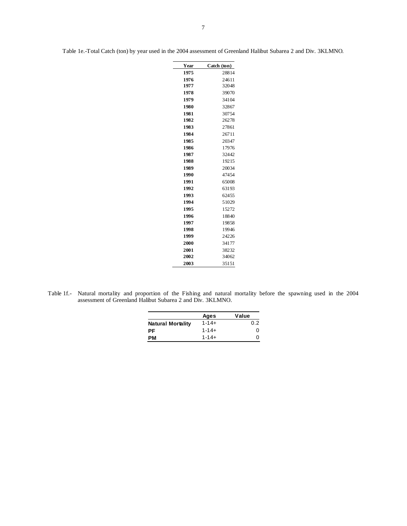Table 1e.-Total Catch (ton) by year used in the 2004 assessment of Greenland Halibut Subarea 2 and Div. 3KLMNO.

| Year | Catch (ton) |
|------|-------------|
| 1975 | 28814       |
| 1976 | 24611       |
| 1977 | 32048       |
| 1978 | 39070       |
| 1979 | 34104       |
| 1980 | 32867       |
| 1981 | 30754       |
| 1982 | 26278       |
| 1983 | 27861       |
| 1984 | 26711       |
| 1985 | 20347       |
| 1986 | 17976       |
| 1987 | 32442       |
| 1988 | 19215       |
| 1989 | 20034       |
| 1990 | 47454       |
| 1991 | 65008       |
| 1992 | 63193       |
| 1993 | 62455       |
| 1994 | 51029       |
| 1995 | 15272       |
| 1996 | 18840       |
| 1997 | 19858       |
| 1998 | 19946       |
| 1999 | 24226       |
| 2000 | 34177       |
| 2001 | 38232       |
| 2002 | 34062       |
| 2003 | 35151       |

Table 1f.- Natural mortality and proportion of the Fishing and natural mortality before the spawning used in the 2004 assessment of Greenland Halibut Subarea 2 and Div. 3KLMNO.

|                          | Ages       | Value |
|--------------------------|------------|-------|
| <b>Natural Mortality</b> | $1 - 14 +$ | 0.2   |
| РF                       | $1 - 14 +$ | O     |
| PМ                       | $1 - 14 +$ |       |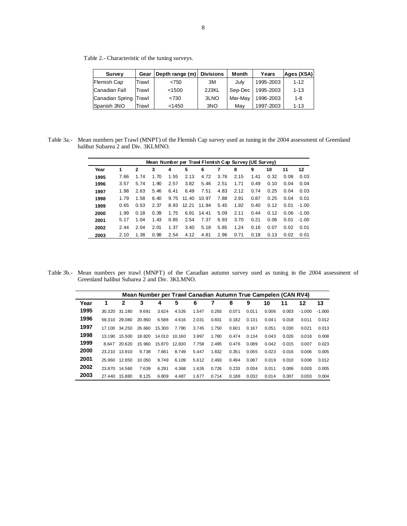Table 2.- Characteristic of the tuning surveys.

| <b>Survey</b>         | Gear  | Depth range (m) | <b>Divisions</b> | Month   | Years     | Ages (XSA) |
|-----------------------|-------|-----------------|------------------|---------|-----------|------------|
| Flemish Cap           | Trawl | < 750           | 3M               | Julv    | 1995-2003 | $1 - 12$   |
| Canadian Fall         | Trawl | < 1500          | 2J3KL            | Sep-Dec | 1995-2003 | $1 - 13$   |
| Canadian Spring Trawl |       | < 730           | 3LNO             | Mar-Mav | 1996-2003 | $1 - 8$    |
| Spanish 3NO           | Trawl | < 1450          | 3NO              | Mav     | 1997-2003 | $1 - 13$   |

Table 3a.- Mean numbers per Trawl (MNPT) of the Flemish Cap survey used as tuning in the 2004 assessment of Greenland halibut Subarea 2 and Div. 3KLMNO.

|      | Mean Number per Trawl Flemish Cap Survey (UE Survey) |              |      |      |       |       |      |      |      |      |      |               |  |  |  |
|------|------------------------------------------------------|--------------|------|------|-------|-------|------|------|------|------|------|---------------|--|--|--|
| Year | 1                                                    | $\mathbf{2}$ | 3    | 4    | 5     | 6     | 7    | 8    | 9    | 10   | 11   | 12            |  |  |  |
| 1995 | 7.66                                                 | 1.74         | 1.70 | 1.55 | 2.13  | 4.72  | 3.76 | 2.15 | 1.41 | 0.32 | 0.08 | 0.03          |  |  |  |
| 1996 | 3.57                                                 | 5.74         | 1.90 | 2.57 | 3.82  | 5.46  | 2.51 | 1.71 | 0.49 | 0.10 | 0.04 | 0.04          |  |  |  |
| 1997 | 1.98                                                 | 2.63         | 5.46 | 6.41 | 6.49  | 7.51  | 4.83 | 2.12 | 0.74 | 0.25 | 0.04 | 0.03          |  |  |  |
| 1998 | 1.79                                                 | 1.58         | 6.40 | 9.75 | 11.40 | 10.97 | 7.88 | 2.91 | 0.87 | 0.25 | 0.04 | 0.01          |  |  |  |
| 1999 | 0.65                                                 | 0.53         | 2.37 | 8.93 | 12.21 | 11.94 | 5.45 | 1.92 | 0.40 | 0.12 | 0.01 | $-1.00$       |  |  |  |
| 2000 | 1.99                                                 | 0.18         | 0.39 | 1.75 | 6.91  | 14.41 | 5.09 | 2.11 | 0.44 | 0.12 |      | $0.06 - 1.00$ |  |  |  |
| 2001 | 5.17                                                 | 1.04         | 1.43 | 0.85 | 2.54  | 7.37  | 6.93 | 3.70 | 0.21 | 0.06 | 0.01 | $-1.00$       |  |  |  |
| 2002 | 2.44                                                 | 2.04         | 2.01 | 1.37 | 3.40  | 5.18  | 5.85 | 1.24 | 0.16 | 0.07 | 0.02 | 0.01          |  |  |  |
| 2003 | 2.10                                                 | 1.38         | 0.98 | 2.54 | 4.12  | 4.81  | 2.96 | 0.71 | 0.18 | 0.13 | 0.02 | 0.01          |  |  |  |

Table 3b.- Mean numbers per trawl (MNPT) of the Canadian autumn survey used as tuning in the 2004 assessment of Greenland halibut Subarea 2 and Div. 3KLMNO.

|      | Mean Number per Trawl Canadian Autumn True Campelen (CAN RV4) |        |        |        |        |       |       |       |       |       |       |          |          |  |
|------|---------------------------------------------------------------|--------|--------|--------|--------|-------|-------|-------|-------|-------|-------|----------|----------|--|
| Year |                                                               | 2      | 3      | 4      | 5      | 6     |       | 8     | 9     | 10    | 11    | 12       | 13       |  |
| 1995 | 30.320                                                        | 31.180 | 9.691  | 3.624  | 4.526  | 1.547 | 0.293 | 0.071 | 0.011 | 0.006 | 0.003 | $-1.000$ | $-1.000$ |  |
| 1996 | 59.310                                                        | 29.080 | 20.850 | 6.588  | 4.616  | 2.031 | 0.831 | 0.182 | 0.131 | 0.041 | 0.018 | 0.011    | 0.012    |  |
| 1997 | 17.100                                                        | 34.250 | 26.660 | 15.300 | 7.780  | 3.745 | 1.750 | 0.601 | 0.167 | 0.051 | 0.030 | 0.021    | 0.013    |  |
| 1998 | 13.190                                                        | 15.500 | 18.820 | 14.010 | 10.160 | 3.997 | 1.780 | 0.474 | 0.134 | 0.043 | 0.026 | 0.018    | 0.008    |  |
| 1999 | 8.647                                                         | 20.620 | 15.960 | 15.870 | 12.830 | 7.758 | 2.495 | 0.476 | 0.089 | 0.042 | 0.015 | 0.007    | 0.023    |  |
| 2000 | 23.210                                                        | 13.910 | 9.738  | 7.681  | 8.749  | 5.447 | 1.832 | 0.351 | 0.055 | 0.023 | 0.016 | 0.006    | 0.005    |  |
| 2001 | 25.960                                                        | 12.850 | 10.050 | 9.749  | 6.109  | 5.612 | 2.493 | 0.494 | 0.087 | 0.019 | 0.010 | 0.008    | 0.012    |  |
| 2002 | 23.870                                                        | 14.560 | 7.639  | 6.291  | 4.368  | 1.626 | 0.726 | 0.233 | 0.034 | 0.011 | 0.006 | 0.003    | 0.005    |  |
| 2003 | 27.440                                                        | 15.880 | 8.125  | 6.809  | 4.487  | 1.677 | 0.714 | 0.188 | 0.032 | 0.014 | 0.007 | 0.003    | 0.004    |  |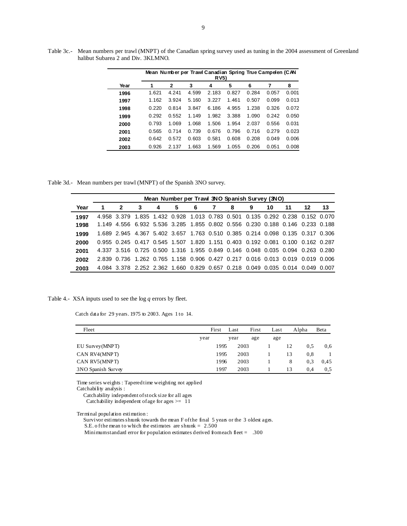|      |       |              |       | Mean Number per Trawl Canadian Spring True Campelen (CAN<br><b>RV5</b> ) |       |       |       |       |
|------|-------|--------------|-------|--------------------------------------------------------------------------|-------|-------|-------|-------|
| Year | 1     | $\mathbf{2}$ | 3     | 4                                                                        | 5     | 6     | 7     | 8     |
| 1996 | 1.621 | 4.241        | 4.599 | 2.183                                                                    | 0.827 | 0.284 | 0.057 | 0.001 |
| 1997 | 1.162 | 3.924        | 5.160 | 3.227                                                                    | 1.461 | 0.507 | 0.099 | 0.013 |
| 1998 | 0.220 | 0.814        | 3.847 | 6.186                                                                    | 4.955 | 1.238 | 0.326 | 0.072 |
| 1999 | 0.292 | 0.552        | 1.149 | 1.982                                                                    | 3.388 | 1.090 | 0.242 | 0.050 |
| 2000 | 0.793 | 1.069        | 1.068 | 1.506                                                                    | 1.954 | 2.037 | 0.556 | 0.031 |
| 2001 | 0.565 | 0.714        | 0.739 | 0.676                                                                    | 0.796 | 0.716 | 0.279 | 0.023 |
| 2002 | 0.642 | 0.572        | 0.603 | 0.581                                                                    | 0.608 | 0.208 | 0.049 | 0.006 |
| 2003 | 0.926 | 2.137        | 1.663 | 1.569                                                                    | 1.055 | 0.206 | 0.051 | 0.008 |

Table 3c.- Mean numbers per trawl (MNPT) of the Canadian spring survey used as tuning in the 2004 assessment of Greenland halibut Subarea 2 and Div. 3KLMNO.

Table 3d.- Mean numbers per trawl (MNPT) of the Spanish 3NO survey.

|      | Mean Number per Trawl 3NO Spanish Survey (3NO) |    |              |   |   |    |    |                                                                               |   |    |     |    |    |  |  |
|------|------------------------------------------------|----|--------------|---|---|----|----|-------------------------------------------------------------------------------|---|----|-----|----|----|--|--|
| Year |                                                | -2 | $\mathbf{3}$ | 4 | 5 | -6 | -7 | 8                                                                             | 9 | 10 | -11 | 12 | 13 |  |  |
| 1997 |                                                |    |              |   |   |    |    | 4.958 3.379 1.835 1.432 0.928 1.013 0.783 0.501 0.135 0.292 0.238 0.152 0.070 |   |    |     |    |    |  |  |
| 1998 |                                                |    |              |   |   |    |    | 1.149 4.556 6.932 5.536 3.285 1.855 0.802 0.556 0.230 0.188 0.146 0.233 0.188 |   |    |     |    |    |  |  |
| 1999 |                                                |    |              |   |   |    |    | 1.689 2.945 4.367 5.402 3.657 1.763 0.510 0.385 0.214 0.098 0.135 0.317 0.306 |   |    |     |    |    |  |  |
| 2000 |                                                |    |              |   |   |    |    | 0.955 0.245 0.417 0.545 1.507 1.820 1.151 0.403 0.192 0.081 0.100 0.162 0.287 |   |    |     |    |    |  |  |
| 2001 |                                                |    |              |   |   |    |    | 4.337 3.516 0.725 0.500 1.316 1.955 0.849 0.146 0.048 0.035 0.094 0.263 0.280 |   |    |     |    |    |  |  |
| 2002 |                                                |    |              |   |   |    |    | 2.839 0.736 1.262 0.765 1.158 0.906 0.427 0.217 0.016 0.013 0.019 0.019 0.006 |   |    |     |    |    |  |  |
| 2003 |                                                |    |              |   |   |    |    | 4.084 3.378 2.252 2.362 1.660 0.829 0.657 0.218 0.049 0.035 0.014 0.049 0.007 |   |    |     |    |    |  |  |

Table 4.- XSA inputs used to see the log *q* errors by fleet.

Catch data for 29 years. 1975 to 2003. Ages 1 to 14.

| Fleet              |      | First | Last | First | Last |    | Alpha | Beta |
|--------------------|------|-------|------|-------|------|----|-------|------|
|                    | year |       | year | age   | age  |    |       |      |
| EU Survey(MNPT)    |      | 1995  | 2003 |       |      | 12 | 0.5   | 0.6  |
| CAN RV4(MNPT)      |      | 1995  | 2003 |       |      | 13 | 0.8   |      |
| CAN RV5(MNPT)      |      | 1996  | 2003 |       |      | 8  | 0.3   | 0,45 |
| 3NO Spanish Survey |      | 1997  | 2003 |       |      | 13 | 0.4   | 0.5  |

 Time series weights : Tapered time weighting not applied Catchability analysis :

Catchability independent of stock size for all ages

Catchability independent of age for ages  $> = 11$ 

Terminal population estimation :

Survivor estimates shrunk towards the mean F of the final 5 years or the 3 oldest ages.

S.E. o f the mean to which the estimates are shown  $k = 2.500$ 

Minimum standard error for population estimates derived from each fleet = .300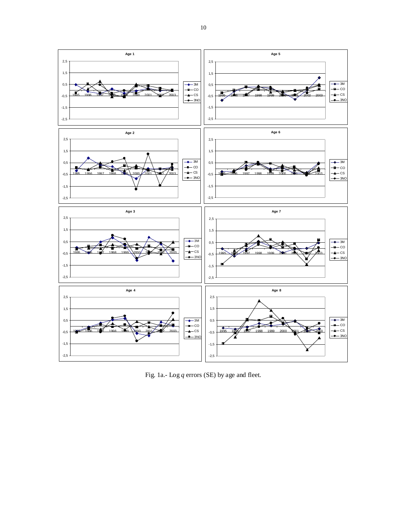

Fig. 1a.- Log *q* errors (SE) by age and fleet.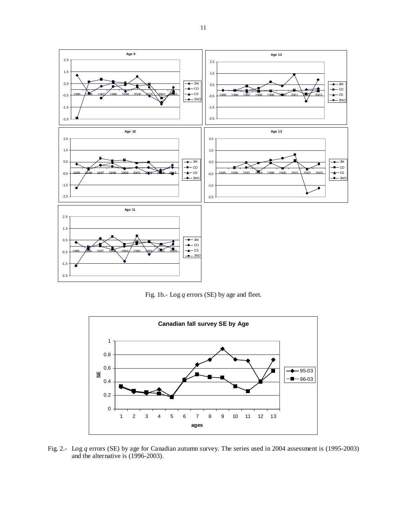

Fig. 1b.- Log *q* errors (SE) by age and fleet.



Fig. 2.- Log *q* errors (SE) by age for Canadian autumn survey. The series used in 2004 assessment is (1995-2003) and the alternative is (1996-2003).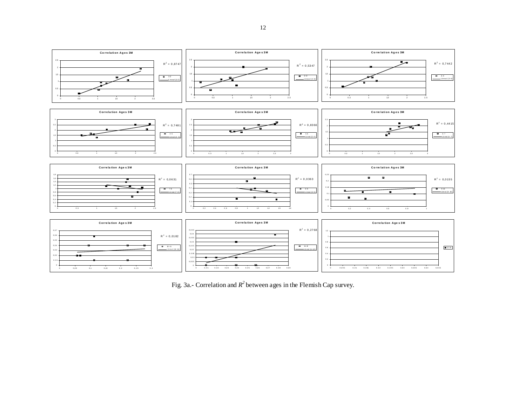

Fig. 3a.- Correlation and *R<sup>2</sup>* between ages in the Flemish Cap survey.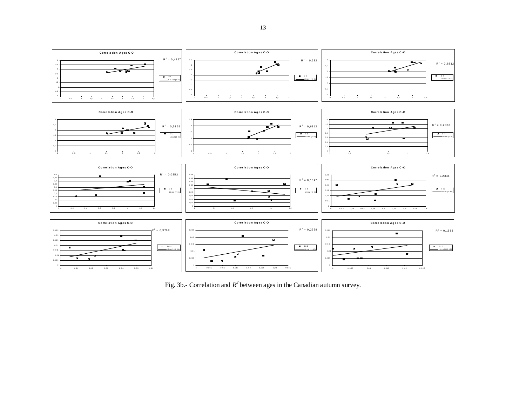

Fig. 3b.- Correlation and  $R^2$  between ages in the Canadian autumn survey.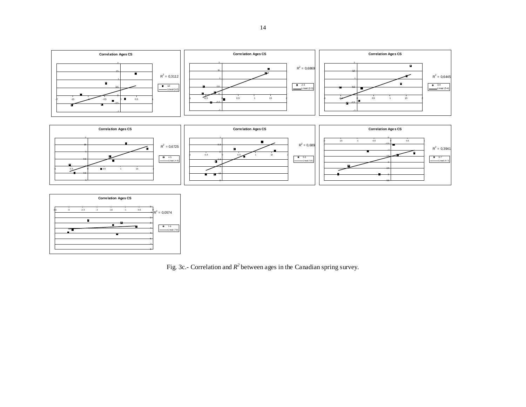





Fig. 3c.- Correlation and  $R^2$  between ages in the Canadian spring survey.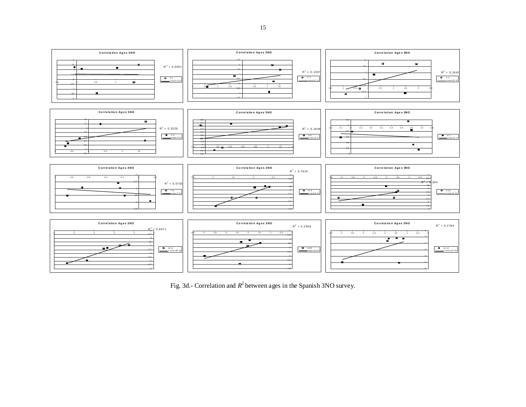

Fig. 3d.- Correlation and  $R^2$  between ages in the Spanish 3NO survey.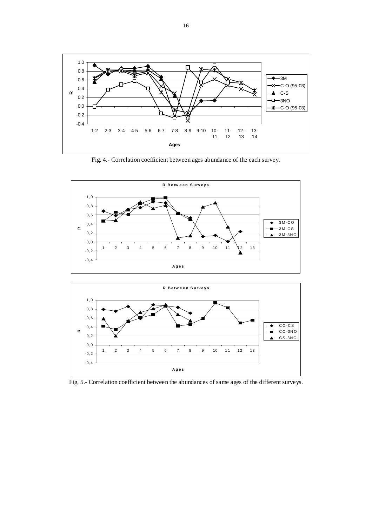

Fig. 4.- Correlation coefficient between ages abundance of the each survey.





Fig. 5.- Correlation coefficient between the abundances of same ages of the different surveys.